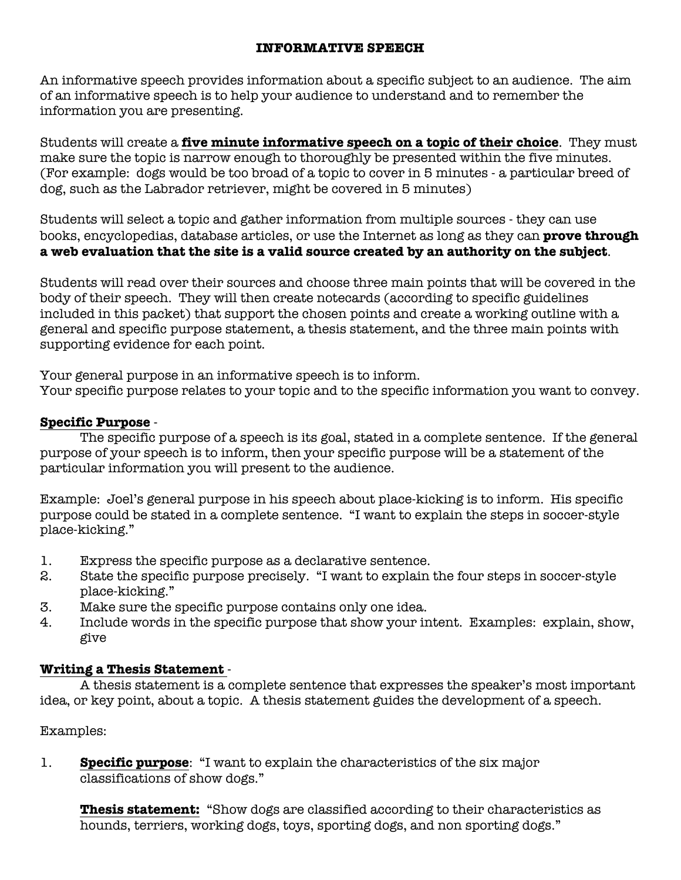## **INFORMATIVE SPEECH**

An informative speech provides information about a specific subject to an audience. The aim of an informative speech is to help your audience to understand and to remember the information you are presenting.

Students will create a **five minute informative speech on a topic of their choice**. They must make sure the topic is narrow enough to thoroughly be presented within the five minutes. (For example: dogs would be too broad of a topic to cover in 5 minutes - a particular breed of dog, such as the Labrador retriever, might be covered in 5 minutes)

Students will select a topic and gather information from multiple sources - they can use books, encyclopedias, database articles, or use the Internet as long as they can **prove through a web evaluation that the site is a valid source created by an authority on the subject**.

Students will read over their sources and choose three main points that will be covered in the body of their speech. They will then create notecards (according to specific guidelines included in this packet) that support the chosen points and create a working outline with a general and specific purpose statement, a thesis statement, and the three main points with supporting evidence for each point.

Your general purpose in an informative speech is to inform. Your specific purpose relates to your topic and to the specific information you want to convey.

# **Specific Purpose** -

The specific purpose of a speech is its goal, stated in a complete sentence. If the general purpose of your speech is to inform, then your specific purpose will be a statement of the particular information you will present to the audience.

Example: Joel's general purpose in his speech about place-kicking is to inform. His specific purpose could be stated in a complete sentence. "I want to explain the steps in soccer-style place-kicking."

- 1. Express the specific purpose as a declarative sentence.
- 2. State the specific purpose precisely. "I want to explain the four steps in soccer-style place-kicking."
- 3. Make sure the specific purpose contains only one idea.
- 4. Include words in the specific purpose that show your intent. Examples: explain, show, give

# **Writing a Thesis Statement** -

A thesis statement is a complete sentence that expresses the speaker's most important idea, or key point, about a topic. A thesis statement guides the development of a speech.

Examples:

1. **Specific purpose**: "I want to explain the characteristics of the six major classifications of show dogs."

 **Thesis statement:** "Show dogs are classified according to their characteristics as hounds, terriers, working dogs, toys, sporting dogs, and non sporting dogs."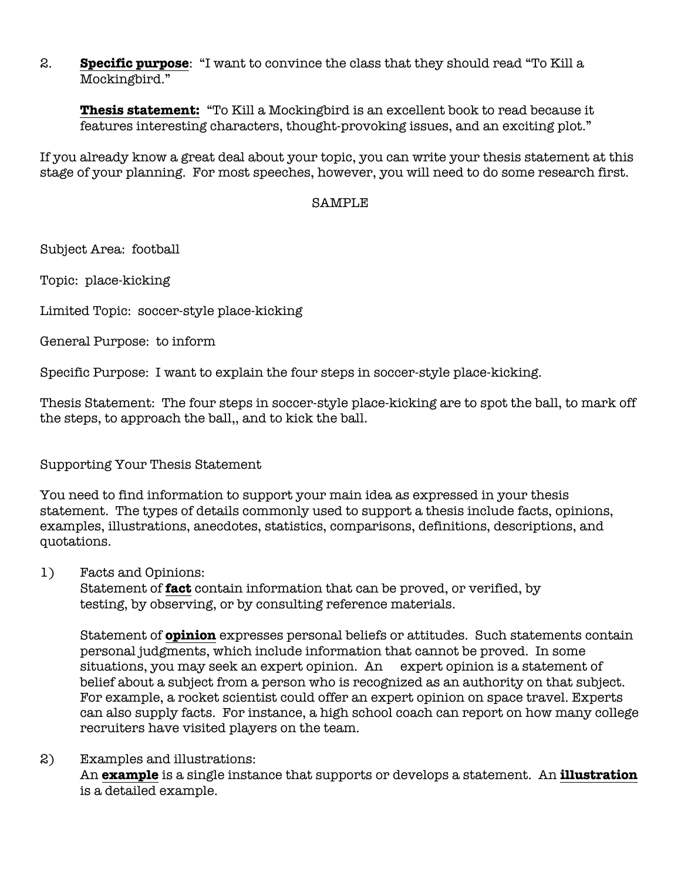2. **Specific purpose**: "I want to convince the class that they should read "To Kill a Mockingbird."

 **Thesis statement:** "To Kill a Mockingbird is an excellent book to read because it features interesting characters, thought-provoking issues, and an exciting plot."

If you already know a great deal about your topic, you can write your thesis statement at this stage of your planning. For most speeches, however, you will need to do some research first.

#### SAMPLE

Subject Area: football

Topic: place-kicking

Limited Topic: soccer-style place-kicking

General Purpose: to inform

Specific Purpose: I want to explain the four steps in soccer-style place-kicking.

Thesis Statement: The four steps in soccer-style place-kicking are to spot the ball, to mark off the steps, to approach the ball,, and to kick the ball.

#### Supporting Your Thesis Statement

You need to find information to support your main idea as expressed in your thesis statement. The types of details commonly used to support a thesis include facts, opinions, examples, illustrations, anecdotes, statistics, comparisons, definitions, descriptions, and quotations.

1) Facts and Opinions:

Statement of **fact** contain information that can be proved, or verified, by testing, by observing, or by consulting reference materials.

Statement of **opinion** expresses personal beliefs or attitudes. Such statements contain personal judgments, which include information that cannot be proved. In some situations, you may seek an expert opinion. An expert opinion is a statement of belief about a subject from a person who is recognized as an authority on that subject. For example, a rocket scientist could offer an expert opinion on space travel. Experts can also supply facts. For instance, a high school coach can report on how many college recruiters have visited players on the team.

#### 2) Examples and illustrations: An **example** is a single instance that supports or develops a statement. An **illustration** is a detailed example.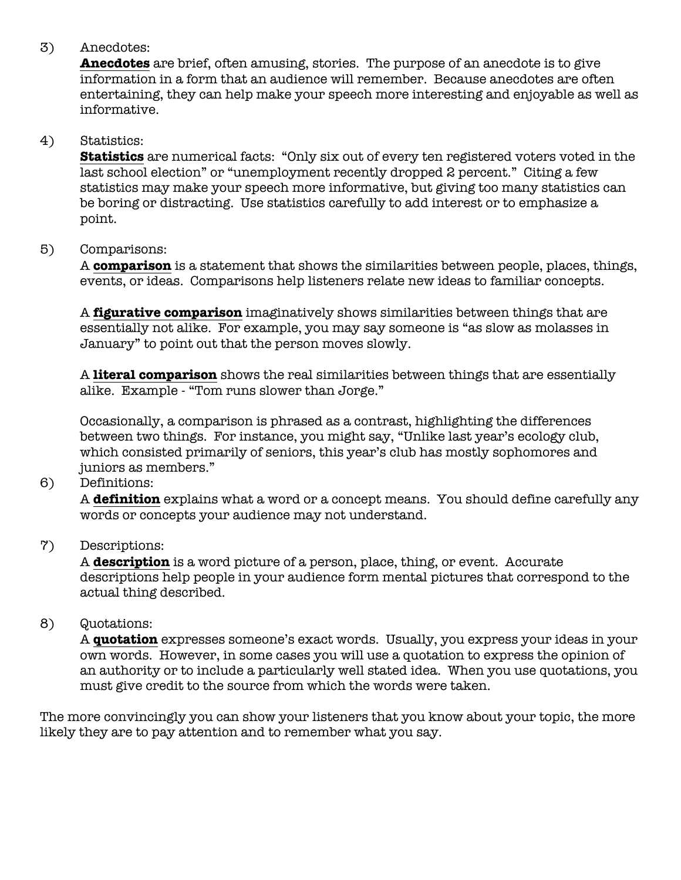# 3) Anecdotes:

**Anecdotes** are brief, often amusing, stories. The purpose of an anecdote is to give information in a form that an audience will remember. Because anecdotes are often entertaining, they can help make your speech more interesting and enjoyable as well as informative.

## 4) Statistics:

**Statistics** are numerical facts: "Only six out of every ten registered voters voted in the last school election" or "unemployment recently dropped 2 percent." Citing a few statistics may make your speech more informative, but giving too many statistics can be boring or distracting. Use statistics carefully to add interest or to emphasize a point.

#### 5) Comparisons:

A **comparison** is a statement that shows the similarities between people, places, things, events, or ideas. Comparisons help listeners relate new ideas to familiar concepts.

A **figurative comparison** imaginatively shows similarities between things that are essentially not alike. For example, you may say someone is "as slow as molasses in January" to point out that the person moves slowly.

A **literal comparison** shows the real similarities between things that are essentially alike. Example - "Tom runs slower than Jorge."

Occasionally, a comparison is phrased as a contrast, highlighting the differences between two things. For instance, you might say, "Unlike last year's ecology club, which consisted primarily of seniors, this year's club has mostly sophomores and juniors as members."

#### 6) Definitions:

A **definition** explains what a word or a concept means. You should define carefully any words or concepts your audience may not understand.

#### 7) Descriptions:

A **description** is a word picture of a person, place, thing, or event. Accurate descriptions help people in your audience form mental pictures that correspond to the actual thing described.

#### 8) Quotations:

A **quotation** expresses someone's exact words. Usually, you express your ideas in your own words. However, in some cases you will use a quotation to express the opinion of an authority or to include a particularly well stated idea. When you use quotations, you must give credit to the source from which the words were taken.

The more convincingly you can show your listeners that you know about your topic, the more likely they are to pay attention and to remember what you say.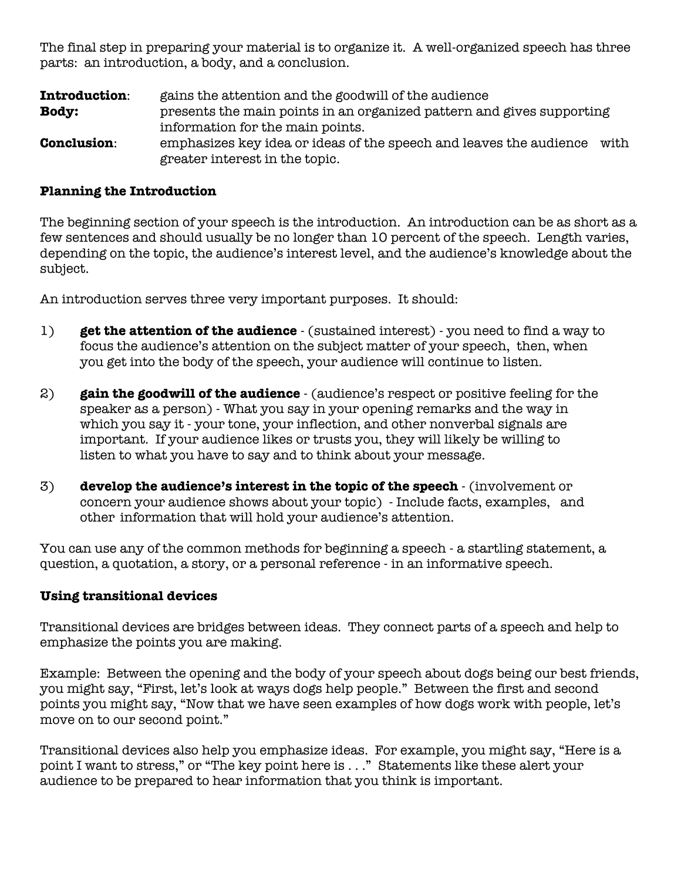The final step in preparing your material is to organize it. A well-organized speech has three parts: an introduction, a body, and a conclusion.

**Introduction:** gains the attention and the goodwill of the audience **Body:** presents the main points in an organized pattern and gives supporting information for the main points. **Conclusion:** emphasizes key idea or ideas of the speech and leaves the audience with greater interest in the topic.

#### **Planning the Introduction**

The beginning section of your speech is the introduction. An introduction can be as short as a few sentences and should usually be no longer than 10 percent of the speech. Length varies, depending on the topic, the audience's interest level, and the audience's knowledge about the subject.

An introduction serves three very important purposes. It should:

- 1) **get the attention of the audience** (sustained interest) you need to find a way to focus the audience's attention on the subject matter of your speech, then, when you get into the body of the speech, your audience will continue to listen.
- 2) **gain the goodwill of the audience** (audience's respect or positive feeling for the speaker as a person) - What you say in your opening remarks and the way in which you say it - your tone, your inflection, and other nonverbal signals are important. If your audience likes or trusts you, they will likely be willing to listen to what you have to say and to think about your message.
- 3) **develop the audience's interest in the topic of the speech** (involvement or concern your audience shows about your topic) - Include facts, examples, and other information that will hold your audience's attention.

You can use any of the common methods for beginning a speech - a startling statement, a question, a quotation, a story, or a personal reference - in an informative speech.

#### **Using transitional devices**

Transitional devices are bridges between ideas. They connect parts of a speech and help to emphasize the points you are making.

Example: Between the opening and the body of your speech about dogs being our best friends, you might say, "First, let's look at ways dogs help people." Between the first and second points you might say, "Now that we have seen examples of how dogs work with people, let's move on to our second point."

Transitional devices also help you emphasize ideas. For example, you might say, "Here is a point I want to stress," or "The key point here is . . ." Statements like these alert your audience to be prepared to hear information that you think is important.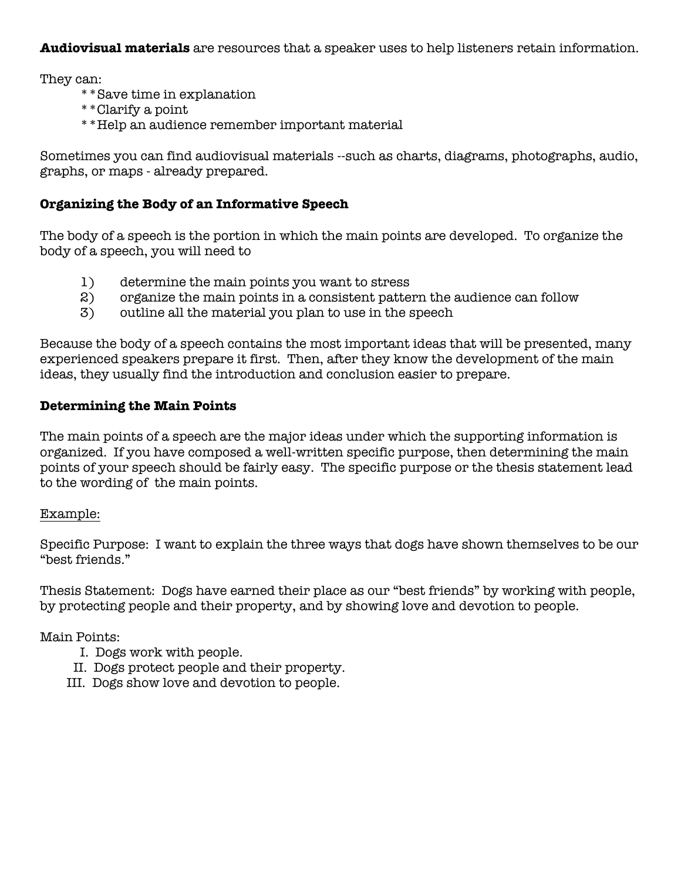**Audiovisual materials** are resources that a speaker uses to help listeners retain information.

They can:

- \*\*Save time in explanation
- \*\*Clarify a point
- \*\*Help an audience remember important material

Sometimes you can find audiovisual materials --such as charts, diagrams, photographs, audio, graphs, or maps - already prepared.

## **Organizing the Body of an Informative Speech**

The body of a speech is the portion in which the main points are developed. To organize the body of a speech, you will need to

- 1) determine the main points you want to stress
- 2) organize the main points in a consistent pattern the audience can follow
- 3) outline all the material you plan to use in the speech

Because the body of a speech contains the most important ideas that will be presented, many experienced speakers prepare it first. Then, after they know the development of the main ideas, they usually find the introduction and conclusion easier to prepare.

### **Determining the Main Points**

The main points of a speech are the major ideas under which the supporting information is organized. If you have composed a well-written specific purpose, then determining the main points of your speech should be fairly easy. The specific purpose or the thesis statement lead to the wording of the main points.

#### Example:

Specific Purpose: I want to explain the three ways that dogs have shown themselves to be our "best friends."

Thesis Statement: Dogs have earned their place as our "best friends" by working with people, by protecting people and their property, and by showing love and devotion to people.

#### Main Points:

- I. Dogs work with people.
- II. Dogs protect people and their property.
- III. Dogs show love and devotion to people.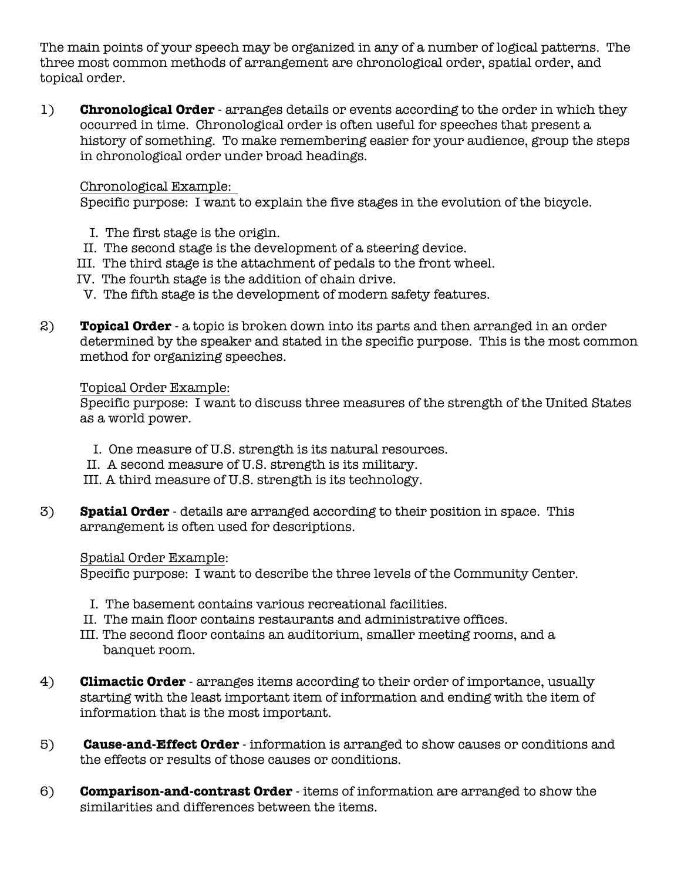The main points of your speech may be organized in any of a number of logical patterns. The three most common methods of arrangement are chronological order, spatial order, and topical order.

1) **Chronological Order** - arranges details or events according to the order in which they occurred in time. Chronological order is often useful for speeches that present a history of something. To make remembering easier for your audience, group the steps in chronological order under broad headings.

### Chronological Example:

Specific purpose: I want to explain the five stages in the evolution of the bicycle.

- I. The first stage is the origin.
- II. The second stage is the development of a steering device.
- III. The third stage is the attachment of pedals to the front wheel.
- IV. The fourth stage is the addition of chain drive.
- V. The fifth stage is the development of modern safety features.
- 2) **Topical Order** a topic is broken down into its parts and then arranged in an order determined by the speaker and stated in the specific purpose. This is the most common method for organizing speeches.

# Topical Order Example:

Specific purpose: I want to discuss three measures of the strength of the United States as a world power.

- I. One measure of U.S. strength is its natural resources.
- II. A second measure of U.S. strength is its military.
- III. A third measure of U.S. strength is its technology.
- 3) **Spatial Order** details are arranged according to their position in space. This arrangement is often used for descriptions.

# Spatial Order Example:

Specific purpose: I want to describe the three levels of the Community Center.

- I. The basement contains various recreational facilities.
- II. The main floor contains restaurants and administrative offices.
- III. The second floor contains an auditorium, smaller meeting rooms, and a banquet room.
- 4) **Climactic Order** arranges items according to their order of importance, usually starting with the least important item of information and ending with the item of information that is the most important.
- 5) **Cause-and-Effect Order** information is arranged to show causes or conditions and the effects or results of those causes or conditions.
- 6) **Comparison-and-contrast Order** items of information are arranged to show the similarities and differences between the items.